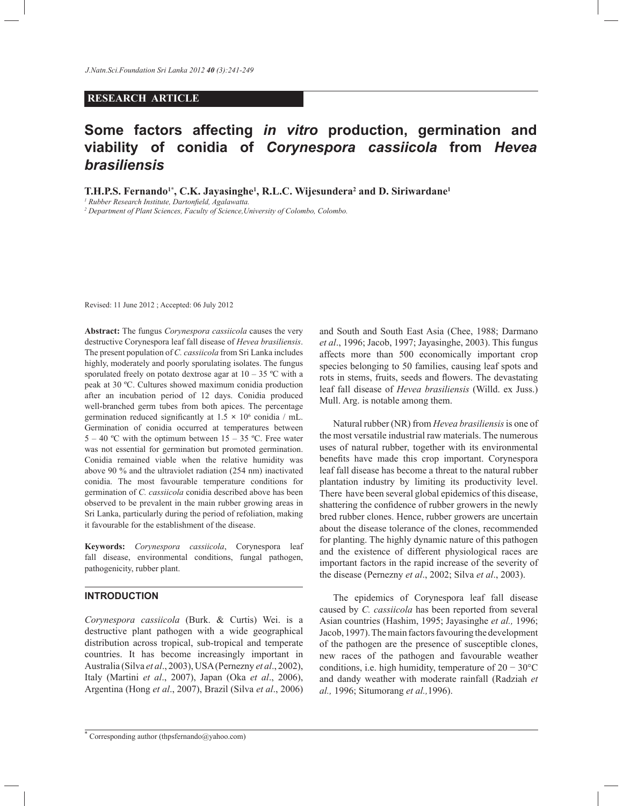## **RESEARCH ARTICLE**

# **Some factors affecting** *in vitro* **production, germination and viability of conidia of** *Corynespora cassiicola* **from** *Hevea brasiliensis*

**T.H.P.S. Fernando1\*, C.K. Jayasinghe<sup>1</sup> , R.L.C. Wijesundera<sup>2</sup> and D. Siriwardane<sup>1</sup>**

*<sup>1</sup> Rubber Research Institute, Dartonfield, Agalawatta.*

*<sup>2</sup> Department of Plant Sciences, Faculty of Science,University of Colombo, Colombo.* 

Revised: 11 June 2012 ; Accepted: 06 July 2012

**Abstract:** The fungus *Corynespora cassiicola* causes the very destructive Corynespora leaf fall disease of *Hevea brasiliensis*. The present population of *C. cassiicola* from Sri Lanka includes highly, moderately and poorly sporulating isolates. The fungus sporulated freely on potato dextrose agar at  $10 - 35$  °C with a peak at 30 ºC. Cultures showed maximum conidia production after an incubation period of 12 days. Conidia produced well-branched germ tubes from both apices. The percentage germination reduced significantly at  $1.5 \times 10^6$  conidia / mL. Germination of conidia occurred at temperatures between  $5 - 40$  °C with the optimum between  $15 - 35$  °C. Free water was not essential for germination but promoted germination. Conidia remained viable when the relative humidity was above 90 % and the ultraviolet radiation (254 nm) inactivated conidia. The most favourable temperature conditions for germination of *C. cassiicola* conidia described above has been observed to be prevalent in the main rubber growing areas in Sri Lanka, particularly during the period of refoliation, making it favourable for the establishment of the disease.

**Keywords:** *Corynespora cassiicola*, Corynespora leaf fall disease, environmental conditions, fungal pathogen, pathogenicity, rubber plant.

### **INTRODUCTION**

*Corynespora cassiicola* (Burk. & Curtis) Wei. is a destructive plant pathogen with a wide geographical distribution across tropical, sub-tropical and temperate countries. It has become increasingly important in Australia (Silva *et al*., 2003), USA (Pernezny *et al*., 2002), Italy (Martini *et al*., 2007), Japan (Oka *et al*., 2006), Argentina (Hong *et al*., 2007), Brazil (Silva *et al*., 2006) and South and South East Asia (Chee, 1988; Darmano *et al*., 1996; Jacob, 1997; Jayasinghe, 2003). This fungus affects more than 500 economically important crop species belonging to 50 families, causing leaf spots and rots in stems, fruits, seeds and flowers. The devastating leaf fall disease of *Hevea brasiliensis* (Willd. ex Juss.) Mull. Arg. is notable among them.

 Natural rubber (NR) from *Hevea brasiliensis* is one of the most versatile industrial raw materials. The numerous uses of natural rubber, together with its environmental benefits have made this crop important. Corynespora leaf fall disease has become a threat to the natural rubber plantation industry by limiting its productivity level. There have been several global epidemics of this disease, shattering the confidence of rubber growers in the newly bred rubber clones. Hence, rubber growers are uncertain about the disease tolerance of the clones, recommended for planting. The highly dynamic nature of this pathogen and the existence of different physiological races are important factors in the rapid increase of the severity of the disease (Pernezny *et al*., 2002; Silva *et al*., 2003).

 The epidemics of Corynespora leaf fall disease caused by *C. cassiicola* has been reported from several Asian countries (Hashim, 1995; Jayasinghe *et al.,* 1996; Jacob, 1997). The main factors favouring the development of the pathogen are the presence of susceptible clones, new races of the pathogen and favourable weather conditions, i.e. high humidity, temperature of 20 − 30°C and dandy weather with moderate rainfall (Radziah *et al.,* 1996; Situmorang *et al.,*1996).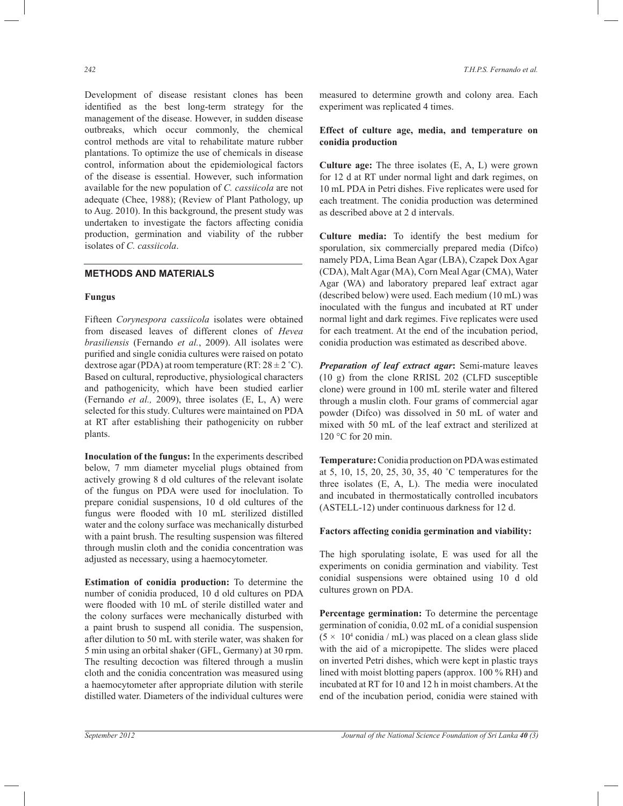Development of disease resistant clones has been identified as the best long-term strategy for the management of the disease. However, in sudden disease outbreaks, which occur commonly, the chemical control methods are vital to rehabilitate mature rubber plantations. To optimize the use of chemicals in disease control, information about the epidemiological factors of the disease is essential. However, such information available for the new population of *C. cassiicola* are not adequate (Chee, 1988); (Review of Plant Pathology, up to Aug. 2010). In this background, the present study was undertaken to investigate the factors affecting conidia production, germination and viability of the rubber isolates of *C. cassiicola*.

## **METHODS AND MATERIALS**

#### **Fungus**

Fifteen *Corynespora cassiicola* isolates were obtained from diseased leaves of different clones of *Hevea brasiliensis* (Fernando *et al.*, 2009). All isolates were purified and single conidia cultures were raised on potato dextrose agar (PDA) at room temperature (RT:  $28 \pm 2$  °C). Based on cultural, reproductive, physiological characters and pathogenicity, which have been studied earlier (Fernando *et al.,* 2009), three isolates (E, L, A) were selected for this study. Cultures were maintained on PDA at RT after establishing their pathogenicity on rubber plants.

**Inoculation of the fungus:** In the experiments described below, 7 mm diameter mycelial plugs obtained from actively growing 8 d old cultures of the relevant isolate of the fungus on PDA were used for inoclulation. To prepare conidial suspensions, 10 d old cultures of the fungus were flooded with 10 mL sterilized distilled water and the colony surface was mechanically disturbed with a paint brush. The resulting suspension was filtered through muslin cloth and the conidia concentration was adjusted as necessary, using a haemocytometer.

**Estimation of conidia production:** To determine the number of conidia produced, 10 d old cultures on PDA were flooded with 10 mL of sterile distilled water and the colony surfaces were mechanically disturbed with a paint brush to suspend all conidia. The suspension, after dilution to 50 mL with sterile water, was shaken for 5 min using an orbital shaker (GFL, Germany) at 30 rpm. The resulting decoction was filtered through a muslin cloth and the conidia concentration was measured using a haemocytometer after appropriate dilution with sterile distilled water. Diameters of the individual cultures were

measured to determine growth and colony area. Each experiment was replicated 4 times.

#### **Effect of culture age, media, and temperature on conidia production**

**Culture age:** The three isolates (E, A, L) were grown for 12 d at RT under normal light and dark regimes, on 10 mL PDA in Petri dishes. Five replicates were used for each treatment. The conidia production was determined as described above at 2 d intervals.

**Culture media:** To identify the best medium for sporulation, six commercially prepared media (Difco) namely PDA, Lima Bean Agar (LBA), Czapek Dox Agar (CDA), Malt Agar (MA), Corn Meal Agar (CMA), Water Agar (WA) and laboratory prepared leaf extract agar (described below) were used. Each medium (10 mL) was inoculated with the fungus and incubated at RT under normal light and dark regimes. Five replicates were used for each treatment. At the end of the incubation period, conidia production was estimated as described above.

*Preparation of leaf extract agar***:** Semi-mature leaves (10 g) from the clone RRISL 202 (CLFD susceptible clone) were ground in 100 mL sterile water and filtered through a muslin cloth. Four grams of commercial agar powder (Difco) was dissolved in 50 mL of water and mixed with 50 mL of the leaf extract and sterilized at 120 °C for 20 min.

**Temperature:**Conidia production on PDA was estimated at 5, 10, 15, 20, 25, 30, 35, 40 ˚C temperatures for the three isolates (E, A, L). The media were inoculated and incubated in thermostatically controlled incubators (ASTELL-12) under continuous darkness for 12 d.

#### **Factors affecting conidia germination and viability:**

The high sporulating isolate, E was used for all the experiments on conidia germination and viability. Test conidial suspensions were obtained using 10 d old cultures grown on PDA.

**Percentage germination:** To determine the percentage germination of conidia, 0.02 mL of a conidial suspension  $(5 \times 10^4 \text{ conidia } / \text{ mL})$  was placed on a clean glass slide with the aid of a micropipette. The slides were placed on inverted Petri dishes, which were kept in plastic trays lined with moist blotting papers (approx. 100 % RH) and incubated at RT for 10 and 12 h in moist chambers. At the end of the incubation period, conidia were stained with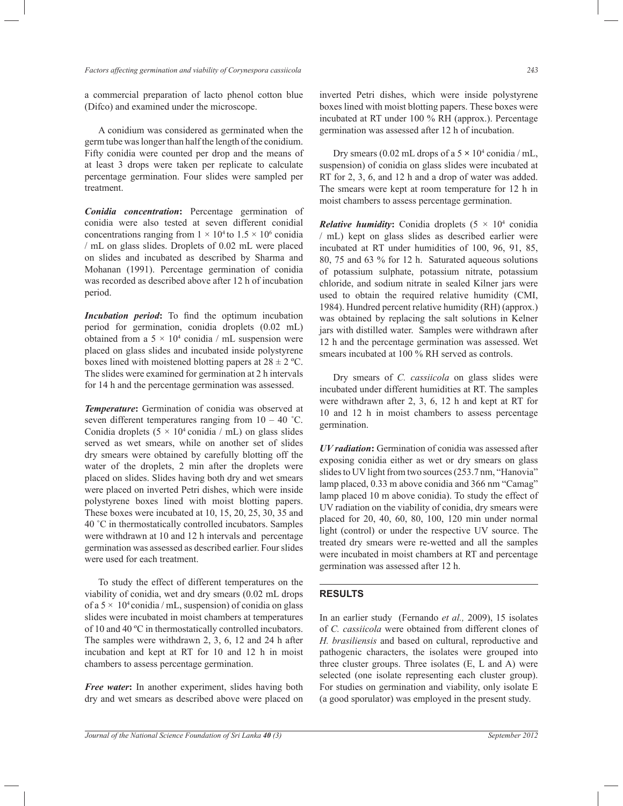a commercial preparation of lacto phenol cotton blue (Difco) and examined under the microscope.

 A conidium was considered as germinated when the germ tube was longer than half the length of the conidium. Fifty conidia were counted per drop and the means of at least 3 drops were taken per replicate to calculate percentage germination. Four slides were sampled per treatment.

*Conidia concentration***:** Percentage germination of conidia were also tested at seven different conidial concentrations ranging from  $1 \times 10^4$  to  $1.5 \times 10^6$  conidia / mL on glass slides. Droplets of 0.02 mL were placed on slides and incubated as described by Sharma and Mohanan (1991). Percentage germination of conidia was recorded as described above after 12 h of incubation period.

*Incubation period***:** To find the optimum incubation period for germination, conidia droplets (0.02 mL) obtained from a  $5 \times 10^4$  conidia / mL suspension were placed on glass slides and incubated inside polystyrene boxes lined with moistened blotting papers at  $28 \pm 2$  °C. The slides were examined for germination at 2 h intervals for 14 h and the percentage germination was assessed.

*Temperature***:** Germination of conidia was observed at seven different temperatures ranging from  $10 - 40$  °C. Conidia droplets  $(5 \times 10^4 \text{ conidia } / \text{ mL})$  on glass slides served as wet smears, while on another set of slides dry smears were obtained by carefully blotting off the water of the droplets, 2 min after the droplets were placed on slides. Slides having both dry and wet smears were placed on inverted Petri dishes, which were inside polystyrene boxes lined with moist blotting papers. These boxes were incubated at 10, 15, 20, 25, 30, 35 and 40 ˚C in thermostatically controlled incubators. Samples were withdrawn at 10 and 12 h intervals and percentage germination was assessed as described earlier. Four slides were used for each treatment.

 To study the effect of different temperatures on the viability of conidia, wet and dry smears (0.02 mL drops of a  $5 \times 10^4$  conidia / mL, suspension) of conidia on glass slides were incubated in moist chambers at temperatures of 10 and 40 ºC in thermostatically controlled incubators. The samples were withdrawn 2, 3, 6, 12 and 24 h after incubation and kept at RT for 10 and 12 h in moist chambers to assess percentage germination.

*Free water***:** In another experiment, slides having both dry and wet smears as described above were placed on inverted Petri dishes, which were inside polystyrene boxes lined with moist blotting papers. These boxes were incubated at RT under 100 % RH (approx.). Percentage germination was assessed after 12 h of incubation.

Dry smears  $(0.02 \text{ mL drops of a } 5 \times 10^4 \text{ conidia } / \text{ mL}$ , suspension) of conidia on glass slides were incubated at RT for 2, 3, 6, and 12 h and a drop of water was added. The smears were kept at room temperature for 12 h in moist chambers to assess percentage germination.

*Relative humidity*: Conidia droplets  $(5 \times 10^4 \text{ conidia})$ / mL) kept on glass slides as described earlier were incubated at RT under humidities of 100, 96, 91, 85, 80, 75 and 63 % for 12 h. Saturated aqueous solutions of potassium sulphate, potassium nitrate, potassium chloride, and sodium nitrate in sealed Kilner jars were used to obtain the required relative humidity (CMI, 1984). Hundred percent relative humidity (RH) (approx.) was obtained by replacing the salt solutions in Kelner jars with distilled water. Samples were withdrawn after 12 h and the percentage germination was assessed. Wet smears incubated at 100 % RH served as controls.

 Dry smears of *C. cassiicola* on glass slides were incubated under different humidities at RT. The samples were withdrawn after 2, 3, 6, 12 h and kept at RT for 10 and 12 h in moist chambers to assess percentage germination.

*UV radiation***:** Germination of conidia was assessed after exposing conidia either as wet or dry smears on glass slides to UV light from two sources (253.7 nm, "Hanovia" lamp placed, 0.33 m above conidia and 366 nm "Camag" lamp placed 10 m above conidia). To study the effect of UV radiation on the viability of conidia, dry smears were placed for 20, 40, 60, 80, 100, 120 min under normal light (control) or under the respective UV source. The treated dry smears were re-wetted and all the samples were incubated in moist chambers at RT and percentage germination was assessed after 12 h.

#### **RESULTS**

In an earlier study (Fernando *et al.,* 2009), 15 isolates of *C. cassiicola* were obtained from different clones of *H. brasiliensis* and based on cultural, reproductive and pathogenic characters, the isolates were grouped into three cluster groups. Three isolates (E, L and A) were selected (one isolate representing each cluster group). For studies on germination and viability, only isolate E (a good sporulator) was employed in the present study.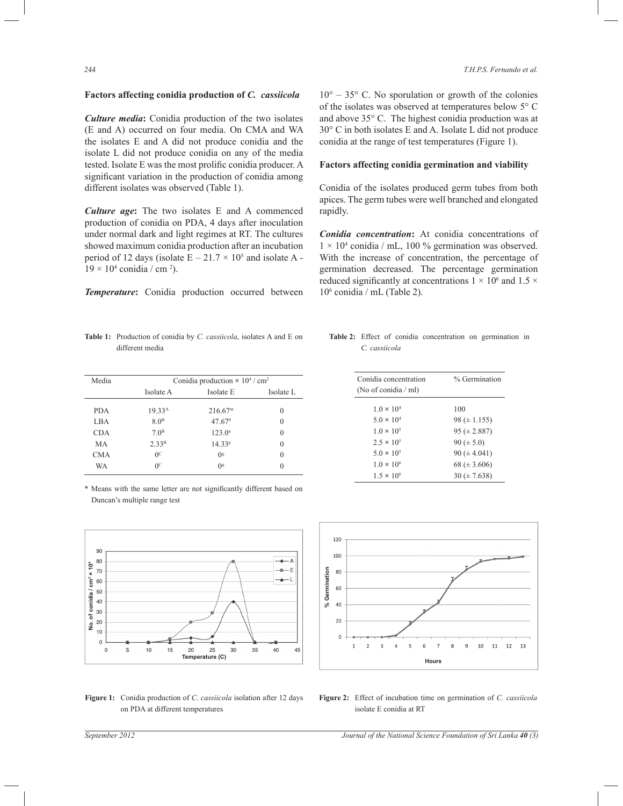## **Factors affecting conidia production of** *C. cassiicola*

*Culture media***:** Conidia production of the two isolates (E and A) occurred on four media. On CMA and WA the isolates E and A did not produce conidia and the isolate L did not produce conidia on any of the media tested. Isolate E was the most prolific conidia producer. A significant variation in the production of conidia among different isolates was observed (Table 1).

*Culture age***:** The two isolates E and A commenced production of conidia on PDA, 4 days after inoculation under normal dark and light regimes at RT. The cultures showed maximum conidia production after an incubation period of 12 days (isolate  $E - 21.7 \times 10^5$  and isolate A - $19 \times 10^4$  conidia / cm <sup>2</sup>).

*Temperature***:** Conidia production occurred between

 $10^{\circ}$  – 35 $^{\circ}$  C. No sporulation or growth of the colonies of the isolates was observed at temperatures below 5° C and above 35° C. The highest conidia production was at 30° C in both isolates E and A. Isolate L did not produce conidia at the range of test temperatures (Figure 1).

### **Factors affecting conidia germination and viability**

Conidia of the isolates produced germ tubes from both apices. The germ tubes were well branched and elongated rapidly.

*Conidia concentration***:** At conidia concentrations of  $1 \times 10^4$  conidia / mL, 100 % germination was observed. With the increase of concentration, the percentage of germination decreased. The percentage germination reduced significantly at concentrations  $1 \times 10^6$  and  $1.5 \times$ 10<sup>6</sup> conidia / mL (Table 2).

**Table 1:** Production of conidia by *C. cassiicola*, isolates A and E on different media

| Media      | Conidia production $\times$ 10 <sup>4</sup> / cm <sup>2</sup> |                      |           |  |  |  |  |  |
|------------|---------------------------------------------------------------|----------------------|-----------|--|--|--|--|--|
|            | Isolate A                                                     | Isolate E            | Isolate L |  |  |  |  |  |
| <b>PDA</b> | 19.33 <sup>A</sup>                                            | 216.67 <sup>m</sup>  | $\theta$  |  |  |  |  |  |
| LBA        | 8.0 <sup>B</sup>                                              | $47.67$ <sup>0</sup> | $\theta$  |  |  |  |  |  |
| <b>CDA</b> | $70^{\rm B}$                                                  | 123.0 <sup>n</sup>   | $\theta$  |  |  |  |  |  |
| MA         | 2.33 <sup>B</sup>                                             | 14.33 <sup>p</sup>   | $\theta$  |  |  |  |  |  |
| <b>CMA</b> | 0 <sup>c</sup>                                                | $^{04}$              | $\theta$  |  |  |  |  |  |
| <b>WA</b>  | $^{0c}$                                                       | $^{04}$              |           |  |  |  |  |  |

\* Means with the same letter are not significantly different based on Duncan's multiple range test



**Figure 1:** Conidia production of *C. cassiicola* isolation after 12 days on PDA at different temperatures

**Table 2:** Effect of conidia concentration on germination in *C. cassiicola*

| Conidia concentration<br>(No of conidia / ml) | % Germination    |
|-----------------------------------------------|------------------|
| $1.0 \times 10^{4}$                           | 100              |
| $5.0 \times 10^{4}$                           | $98 (\pm 1.155)$ |
| $1.0 \times 10^{5}$                           | $95 (\pm 2.887)$ |
| $2.5 \times 10^{5}$                           | $90 (\pm 5.0)$   |
| $5.0 \times 10^{5}$                           | $90 (\pm 4.041)$ |
| $1.0 \times 10^{6}$                           | $68 (\pm 3.606)$ |
| $1.5 \times 10^{6}$                           | $30 (\pm 7.638)$ |



**Figure 2:** Effect of incubation time on germination of *C. cassiicola* isolate E conidia at RT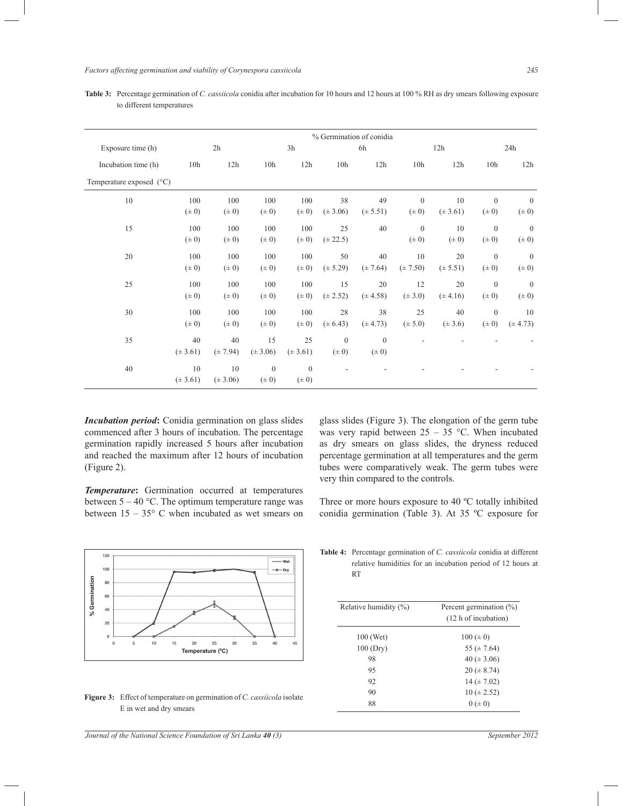*Factors affecting germination and viability of Corynespora cassiicola 245*

|                                   | % Germination of conidia |              |                 |              |                 |              |                 |              |                  |                |
|-----------------------------------|--------------------------|--------------|-----------------|--------------|-----------------|--------------|-----------------|--------------|------------------|----------------|
| Exposure time (h)                 |                          | 2h           |                 | 3h           |                 | 6h           |                 | 12h          |                  | 24h            |
| Incubation time (h)               | 10 <sub>h</sub>          | 12h          | 10 <sub>h</sub> | 12h          | 10 <sub>h</sub> | 12h          | 10 <sub>h</sub> | 12h          | 10 <sub>h</sub>  | 12h            |
| Temperature exposed $(^{\circ}C)$ |                          |              |                 |              |                 |              |                 |              |                  |                |
| 10                                | 100                      | 100          | 100             | 100          | 38              | 49           | $\mathbf{0}$    | 10           | $\mathbf{0}$     | $\mathbf{0}$   |
|                                   | $(\pm 0)$                | $(\pm 0)$    | $(\pm 0)$       | $(\pm 0)$    | $(\pm 3.06)$    | $(\pm 5.51)$ | $(\pm 0)$       | $(\pm 3.61)$ | $(\pm 0)$        | $(\pm 0)$      |
| 15                                | 100                      | 100          | 100             | 100          | 25              | 40           | $\mathbf{0}$    | 10           | $\mathbf{0}$     | $\mathbf{0}$   |
|                                   | $(\pm 0)$                | $(\pm 0)$    | $(\pm 0)$       | $(\pm 0)$    | $(\pm 22.5)$    |              | $(\pm 0)$       | $(\pm 0)$    | $(\pm 0)$        | $(\pm 0)$      |
| 20                                | 100                      | 100          | 100             | 100          | 50              | 40           | 10              | 20           | $\mathbf{0}$     | $\mathbf{0}$   |
|                                   | $(\pm 0)$                | $(\pm 0)$    | $(\pm 0)$       | $(\pm 0)$    | $(\pm 5.29)$    | $(\pm 7.64)$ | $(\pm 7.50)$    | $(\pm 5.51)$ | $(\pm 0)$        | $(\pm 0)$      |
| 25                                | 100                      | 100          | 100             | 100          | 15              | 20           | 12              | 20           | $\mathbf{0}$     | $\overline{0}$ |
|                                   | $(\pm 0)$                | $(\pm 0)$    | $(\pm 0)$       | $(\pm 0)$    | $(\pm 2.52)$    | $(\pm 4.58)$ | $(\pm 3.0)$     | $(\pm 4.16)$ | $(\pm 0)$        | $(\pm 0)$      |
| 30                                | 100                      | 100          | 100             | 100          | 28              | 38           | 25              | 40           | $\boldsymbol{0}$ | 10             |
|                                   | $(\pm 0)$                | $(\pm 0)$    | $(\pm 0)$       | $(\pm 0)$    | $(\pm 6.43)$    | $(\pm 4.73)$ | $(\pm 5.0)$     | $(\pm 3.6)$  | $(\pm 0)$        | $(\pm 4.73)$   |
| 35                                | 40                       | 40           | 15              | 25           | $\mathbf{0}$    | $\mathbf{0}$ |                 |              |                  |                |
|                                   | $(\pm 3.61)$             | $(\pm 7.94)$ | $(\pm 3.06)$    | $(\pm 3.61)$ | $(\pm 0)$       | $(\pm 0)$    |                 |              |                  |                |
| 40                                | 10                       | 10           | $\mathbf{0}$    | $\mathbf{0}$ | ٠               |              |                 |              |                  |                |
|                                   | $(\pm 3.61)$             | $(\pm 3.06)$ | $(\pm 0)$       | $(\pm 0)$    |                 |              |                 |              |                  |                |

**Table 3:** Percentage germination of *C. cassiicola* conidia after incubation for 10 hours and 12 hours at 100 % RH as dry smears following exposure to different temperatures

*Incubation period***:** Conidia germination on glass slides commenced after 3 hours of incubation. The percentage germination rapidly increased 5 hours after incubation and reached the maximum after 12 hours of incubation (Figure 2).

*Temperature***:** Germination occurred at temperatures between  $5 - 40$  °C. The optimum temperature range was between  $15 - 35^{\circ}$  C when incubated as wet smears on



**Figure 3:** Effect of temperature on germination of *C. cassiicola* isolate E in wet and dry smears

*Journal of the National Science Foundation of Sri Lanka 40 (3) September 2012*

glass slides (Figure 3). The elongation of the germ tube was very rapid between  $25 - 35$  °C. When incubated as dry smears on glass slides, the dryness reduced percentage germination at all temperatures and the germ tubes were comparatively weak. The germ tubes were very thin compared to the controls.

Three or more hours exposure to 40 ºC totally inhibited conidia germination (Table 3). At 35 ºC exposure for

**Table 4:** Percentage germination of *C. cassiicola* conidia at different relative humidities for an incubation period of 12 hours at RT

| Relative humidity (%) | Percent germination $(\% )$<br>(12 h of incubation) |  |  |  |  |
|-----------------------|-----------------------------------------------------|--|--|--|--|
| 100 (Wet)             | $100 (\pm 0)$                                       |  |  |  |  |
| 100(Dry)              | 55 ( $\pm$ 7.64)                                    |  |  |  |  |
| 98                    | 40 ( $\pm$ 3.06)                                    |  |  |  |  |
| 95                    | $20 (\pm 8.74)$                                     |  |  |  |  |
| 92                    | $14 (\pm 7.02)$                                     |  |  |  |  |
| 90                    | $10 (\pm 2.52)$                                     |  |  |  |  |
| 88                    | $0 (\pm 0)$                                         |  |  |  |  |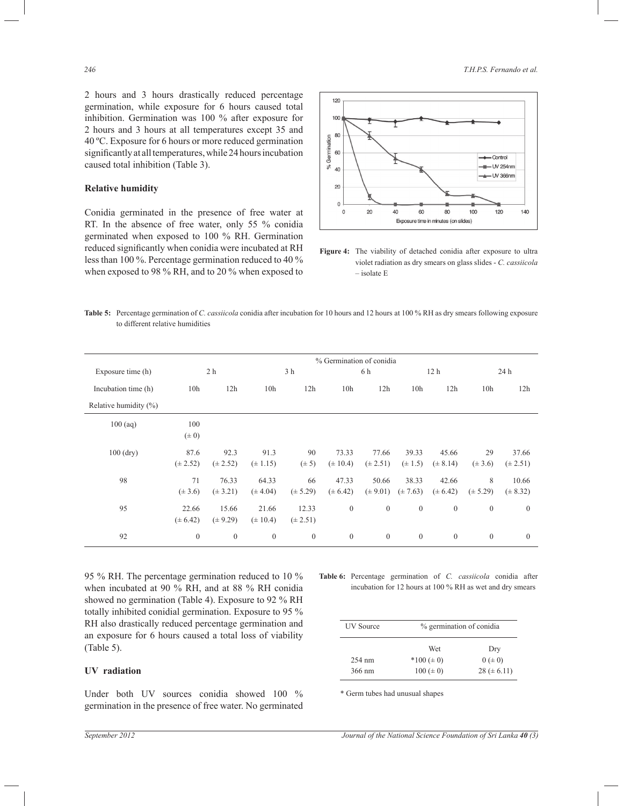2 hours and 3 hours drastically reduced percentage germination, while exposure for 6 hours caused total inhibition. Germination was 100 % after exposure for 2 hours and 3 hours at all temperatures except 35 and 40 ºC. Exposure for 6 hours or more reduced germination significantly at all temperatures, while 24 hours incubation caused total inhibition (Table 3).

## **Relative humidity**

Conidia germinated in the presence of free water at RT. In the absence of free water, only 55 % conidia germinated when exposed to 100 % RH. Germination reduced significantly when conidia were incubated at RH less than 100 %. Percentage germination reduced to 40 % when exposed to 98 % RH, and to 20 % when exposed to



**Figure 4:** The viability of detached conidia after exposure to ultra violet radiation as dry smears on glass slides - *C. cassiicola* – isolate E

**Table 5:** Percentage germination of *C. cassiicola* conidia after incubation for 10 hours and 12 hours at 100 % RH as dry smears following exposure to different relative humidities

|                       | % Germination of conidia |              |                 |                |                 |                |                 |                 |                 |              |
|-----------------------|--------------------------|--------------|-----------------|----------------|-----------------|----------------|-----------------|-----------------|-----------------|--------------|
| Exposure time (h)     |                          | 2 h          |                 | 3 h            |                 | 6 h            |                 | 12 <sub>h</sub> |                 | 24h          |
| Incubation time (h)   | 10 <sub>h</sub>          | 12h          | 10 <sub>h</sub> | 12h            | 10 <sub>h</sub> | 12h            | 10 <sub>h</sub> | 12h             | 10 <sub>h</sub> | 12h          |
| Relative humidity (%) |                          |              |                 |                |                 |                |                 |                 |                 |              |
| $100$ (aq)            | 100                      |              |                 |                |                 |                |                 |                 |                 |              |
|                       | $(\pm 0)$                |              |                 |                |                 |                |                 |                 |                 |              |
| $100$ (dry)           | 87.6                     | 92.3         | 91.3            | 90             | 73.33           | 77.66          | 39.33           | 45.66           | 29              | 37.66        |
|                       | $(\pm 2.52)$             | $(\pm 2.52)$ | $(\pm 1.15)$    | $(\pm 5)$      | $(\pm 10.4)$    | $(\pm 2.51)$   | $(\pm 1.5)$     | $(\pm 8.14)$    | $(\pm 3.6)$     | $(\pm 2.51)$ |
| 98                    | 71                       | 76.33        | 64.33           | 66             | 47.33           | 50.66          | 38.33           | 42.66           | 8               | 10.66        |
|                       | $(\pm 3.6)$              | $(\pm 3.21)$ | $(\pm 4.04)$    | $(\pm 5.29)$   | $(\pm 6.42)$    | $(\pm 9.01)$   | $(\pm 7.63)$    | $(\pm 6.42)$    | $(\pm 5.29)$    | $(\pm 8.32)$ |
| 95                    | 22.66                    | 15.66        | 21.66           | 12.33          | $\mathbf{0}$    | $\overline{0}$ | $\theta$        | $\mathbf{0}$    | $\overline{0}$  | $\mathbf{0}$ |
|                       | $(\pm 6.42)$             | $(\pm 9.29)$ | $(\pm 10.4)$    | $(\pm 2.51)$   |                 |                |                 |                 |                 |              |
| 92                    | $\theta$                 | $\mathbf{0}$ | $\mathbf{0}$    | $\overline{0}$ | $\mathbf{0}$    | $\mathbf{0}$   | $\theta$        | $\mathbf{0}$    | $\overline{0}$  | $\mathbf{0}$ |

95 % RH. The percentage germination reduced to 10 % when incubated at 90 % RH, and at 88 % RH conidia showed no germination (Table 4). Exposure to 92 % RH totally inhibited conidial germination. Exposure to 95 % RH also drastically reduced percentage germination and an exposure for 6 hours caused a total loss of viability (Table 5).

# **UV radiation**

Under both UV sources conidia showed 100 % germination in the presence of free water. No germinated

**Table 6:** Percentage germination of *C. cassiicola* conidia after incubation for 12 hours at 100 % RH as wet and dry smears

| <b>UV</b> Source | % germination of conidia |                 |
|------------------|--------------------------|-----------------|
|                  | Wet                      | Dry             |
| $254 \text{ nm}$ | $*100 (\pm 0)$           | $0 (= 0)$       |
| 366 nm           | $100 (\pm 0)$            | $28 (\pm 6.11)$ |

\* Germ tubes had unusual shapes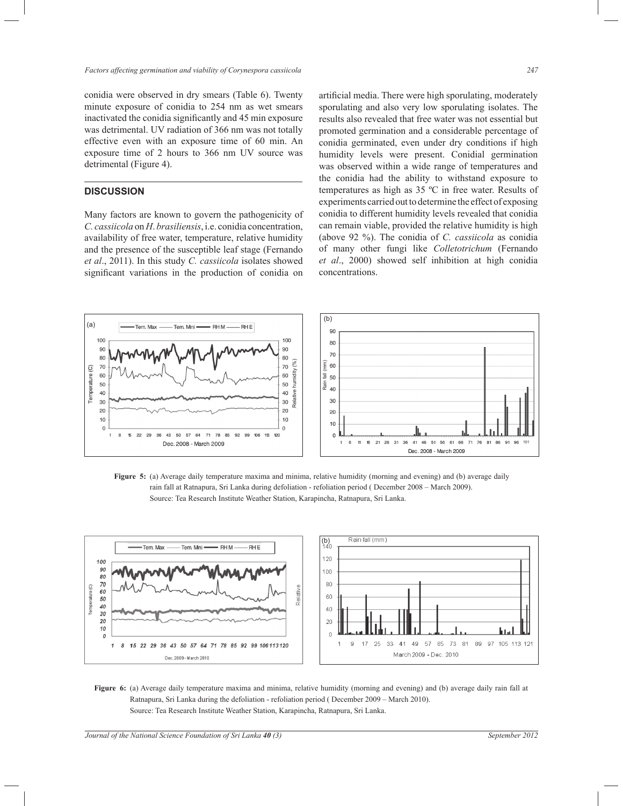conidia were observed in dry smears (Table 6). Twenty minute exposure of conidia to 254 nm as wet smears inactivated the conidia significantly and 45 min exposure was detrimental. UV radiation of 366 nm was not totally effective even with an exposure time of 60 min. An exposure time of 2 hours to 366 nm UV source was detrimental (Figure 4).

# **DISCUSSION**

Many factors are known to govern the pathogenicity of *C. cassiicola* on *H*. *brasiliensis*, i.e. conidia concentration, availability of free water, temperature, relative humidity and the presence of the susceptible leaf stage (Fernando *et al*., 2011). In this study *C. cassiicola* isolates showed significant variations in the production of conidia on

artificial media. There were high sporulating, moderately sporulating and also very low sporulating isolates. The results also revealed that free water was not essential but promoted germination and a considerable percentage of conidia germinated, even under dry conditions if high humidity levels were present. Conidial germination was observed within a wide range of temperatures and the conidia had the ability to withstand exposure to temperatures as high as 35 ºC in free water. Results of experiments carried out to determine the effect of exposing conidia to different humidity levels revealed that conidia can remain viable, provided the relative humidity is high (above 92 %). The conidia of *C. cassiicola* as conidia of many other fungi like *Colletotrichum* (Fernando *et al*., 2000) showed self inhibition at high conidia concentrations.



**Figure 5:** (a) Average daily temperature maxima and minima, relative humidity (morning and evening) and (b) average daily rain fall at Ratnapura, Sri Lanka during defoliation - refoliation period ( December 2008 – March 2009). Source: Tea Research Institute Weather Station, Karapincha, Ratnapura, Sri Lanka.



**Figure 6:** (a) Average daily temperature maxima and minima, relative humidity (morning and evening) and (b) average daily rain fall at Ratnapura, Sri Lanka during the defoliation - refoliation period ( December 2009 – March 2010). Source: Tea Research Institute Weather Station, Karapincha, Ratnapura, Sri Lanka.

*Journal of the National Science Foundation of Sri Lanka 40 (3)* September 2012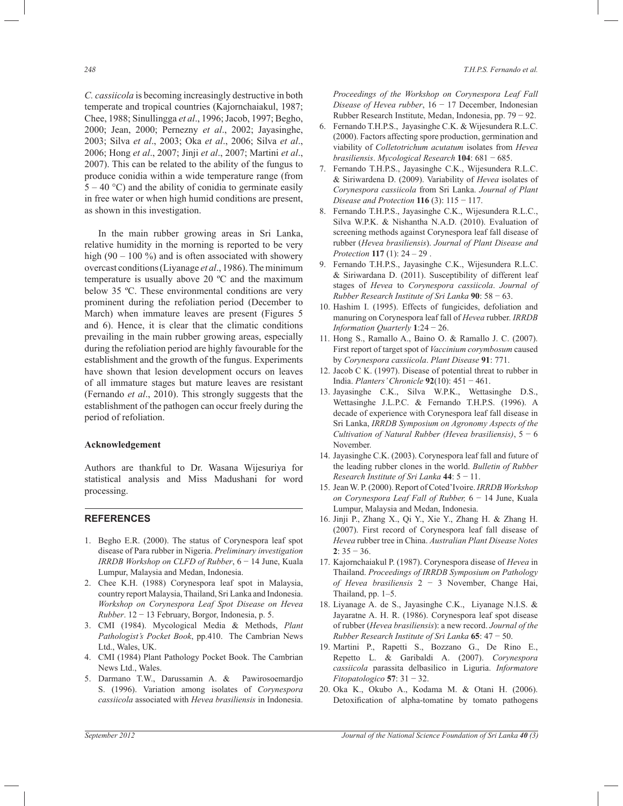*C. cassiicola* is becoming increasingly destructive in both temperate and tropical countries (Kajornchaiakul, 1987; Chee, 1988; Sinullingga *et al*., 1996; Jacob, 1997; Begho, 2000; Jean, 2000; Pernezny *et al*., 2002; Jayasinghe, 2003; Silva *et al*., 2003; Oka *et al*., 2006; Silva *et al*., 2006; Hong *et al*., 2007; Jinji *et al*., 2007; Martini *et al*., 2007). This can be related to the ability of the fungus to produce conidia within a wide temperature range (from  $5 - 40$  °C) and the ability of conidia to germinate easily in free water or when high humid conditions are present, as shown in this investigation.

 In the main rubber growing areas in Sri Lanka, relative humidity in the morning is reported to be very high  $(90 - 100 \%)$  and is often associated with showery overcast conditions (Liyanage *et al*., 1986). The minimum temperature is usually above 20 ºC and the maximum below 35 ºC. These environmental conditions are very prominent during the refoliation period (December to March) when immature leaves are present (Figures 5 and 6). Hence, it is clear that the climatic conditions prevailing in the main rubber growing areas, especially during the refoliation period are highly favourable for the establishment and the growth of the fungus. Experiments have shown that lesion development occurs on leaves of all immature stages but mature leaves are resistant (Fernando *et al*., 2010). This strongly suggests that the establishment of the pathogen can occur freely during the period of refoliation.

## **Acknowledgement**

Authors are thankful to Dr. Wasana Wijesuriya for statistical analysis and Miss Madushani for word processing.

## **REFERENCES**

- 1. Begho E.R. (2000). The status of Corynespora leaf spot disease of Para rubber in Nigeria. *Preliminary investigation IRRDB Workshop on CLFD of Rubber*, 6 − 14 June, Kuala Lumpur, Malaysia and Medan, Indonesia.
- 2. Chee K.H. (1988) Corynespora leaf spot in Malaysia, country report Malaysia, Thailand, Sri Lanka and Indonesia. *Workshop on Corynespora Leaf Spot Disease on Hevea Rubber*. 12 − 13 February, Borgor, Indonesia, p. 5.
- 3. CMI (1984). Mycological Media & Methods, *Plant Pathologist's Pocket Book*, pp.410. The Cambrian News Ltd., Wales, UK.
- 4. CMI (1984) Plant Pathology Pocket Book. The Cambrian News Ltd., Wales.
- 5. Darmano T.W., Darussamin A. & Pawirosoemardjo S. (1996). Variation among isolates of *Corynespora cassiicola* associated with *Hevea brasiliensis* in Indonesia.

*Proceedings of the Workshop on Corynespora Leaf Fall Disease of Hevea rubber*, 16 − 17 December, Indonesian Rubber Research Institute, Medan, Indonesia, pp. 79 − 92.

- 6. Fernando T.H.P.S., Jayasinghe C.K. & Wijesundera R.L.C. (2000). Factors affecting spore production, germination and viability of *Colletotrichum acutatum* isolates from *Hevea brasiliensis*. *Mycological Research* **104**: 681 − 685.
- 7. Fernando T.H.P.S., Jayasinghe C.K., Wijesundera R.L.C. & Siriwardena D. (2009). Variability of *Hevea* isolates of *Corynespora cassiicola* from Sri Lanka. *Journal of Plant Disease and Protection* **116** (3): 115 − 117.
- 8. Fernando T.H.P.S., Jayasinghe C.K., Wijesundera R.L.C., Silva W.P.K. & Nishantha N.A.D. (2010). Evaluation of screening methods against Corynespora leaf fall disease of rubber (*Hevea brasiliensis*). *Journal of Plant Disease and Protection* **117** (1): 24 – 29 .
- 9. Fernando T.H.P.S., Jayasinghe C.K., Wijesundera R.L.C. & Siriwardana D. (2011). Susceptibility of different leaf stages of *Hevea* to *Corynespora cassiicola*. *Journal of Rubber Research Institute of Sri Lanka* **90**: 58 − 63.
- 10. Hashim I. (1995). Effects of fungicides, defoliation and manuring on Corynespora leaf fall of *Hevea* rubber. *IRRDB Information Quarterly* **1**:24 − 26.
- 11. Hong S., Ramallo A., Baino O. & Ramallo J. C. (2007). First report of target spot of *Vaccinium corymbosum* caused by *Corynespora cassiicola*. *Plant Disease* **91**: 771.
- 12. Jacob C K. (1997). Disease of potential threat to rubber in India. *Planters' Chronicle* **92**(10): 451 − 461.
- 13. Jayasinghe C.K., Silva W.P.K., Wettasinghe D.S., Wettasinghe J.L.P.C. & Fernando T.H.P.S. (1996). A decade of experience with Corynespora leaf fall disease in Sri Lanka, *IRRDB Symposium on Agronomy Aspects of the Cultivation of Natural Rubber (Hevea brasiliensis)*, 5 − 6 November.
- 14. Jayasinghe C.K. (2003). Corynespora leaf fall and future of the leading rubber clones in the world. *Bulletin of Rubber Research Institute of Sri Lanka* **44**: 5 − 11.
- 15. Jean W. P. (2000). Report of Coted'Ivoire. *IRRDB Workshop on Corynespora Leaf Fall of Rubber,* 6 − 14 June, Kuala Lumpur, Malaysia and Medan, Indonesia.
- 16. Jinji P., Zhang X., Qi Y., Xie Y., Zhang H. & Zhang H. (2007). First record of Corynespora leaf fall disease of *Hevea* rubber tree in China. *Australian Plant Disease Notes* **2**: 35 − 36.
- 17. Kajornchaiakul P. (1987). Corynespora disease of *Hevea* in Thailand. *Proceedings of IRRDB Symposium on Pathology of Hevea brasiliensis* 2 − 3 November, Change Hai, Thailand, pp. 1–5.
- 18. Liyanage A. de S., Jayasinghe C.K., Liyanage N.I.S. & Jayaratne A. H. R. (1986). Corynespora leaf spot disease of rubber (*Hevea brasiliensis*): a new record. *Journal of the Rubber Research Institute of Sri Lanka* **65**: 47 − 50.
- 19. Martini P., Rapetti S., Bozzano G., De Rino E., Repetto L. & Garibaldi A. (2007). *Corynespora cassiicola* parassita delbasilico in Liguria. *Informatore Fitopatologico* **57**: 31 − 32.
- 20. Oka K., Okubo A., Kodama M. & Otani H. (2006). Detoxification of alpha-tomatine by tomato pathogens